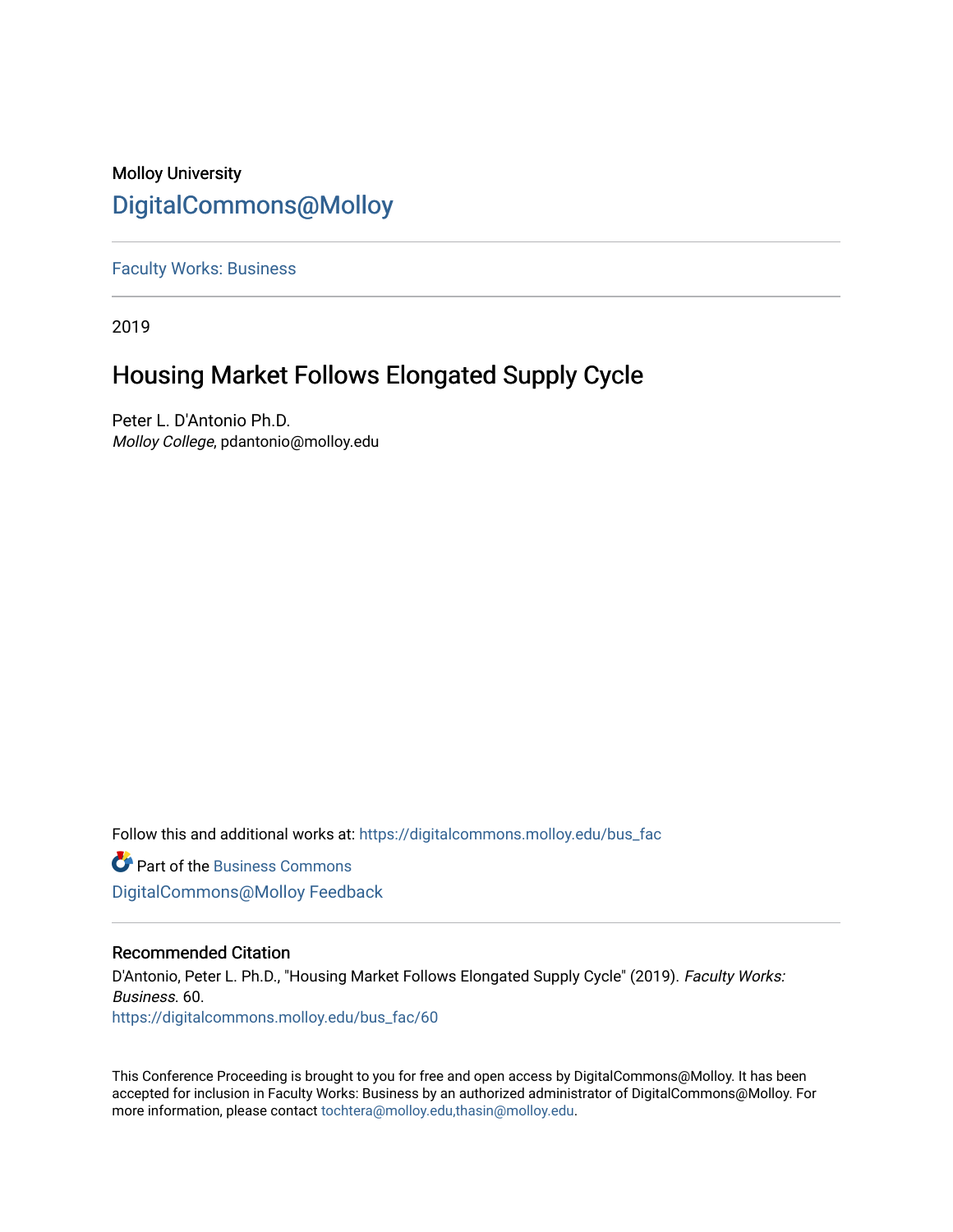## Molloy University [DigitalCommons@Molloy](https://digitalcommons.molloy.edu/)

[Faculty Works: Business](https://digitalcommons.molloy.edu/bus_fac) 

2019

# Housing Market Follows Elongated Supply Cycle

Peter L. D'Antonio Ph.D. Molloy College, pdantonio@molloy.edu

Follow this and additional works at: [https://digitalcommons.molloy.edu/bus\\_fac](https://digitalcommons.molloy.edu/bus_fac?utm_source=digitalcommons.molloy.edu%2Fbus_fac%2F60&utm_medium=PDF&utm_campaign=PDFCoverPages)

**C** Part of the [Business Commons](https://network.bepress.com/hgg/discipline/622?utm_source=digitalcommons.molloy.edu%2Fbus_fac%2F60&utm_medium=PDF&utm_campaign=PDFCoverPages) [DigitalCommons@Molloy Feedback](https://molloy.libwizard.com/f/dcfeedback)

#### Recommended Citation

D'Antonio, Peter L. Ph.D., "Housing Market Follows Elongated Supply Cycle" (2019). Faculty Works: Business. 60. [https://digitalcommons.molloy.edu/bus\\_fac/60](https://digitalcommons.molloy.edu/bus_fac/60?utm_source=digitalcommons.molloy.edu%2Fbus_fac%2F60&utm_medium=PDF&utm_campaign=PDFCoverPages) 

This Conference Proceeding is brought to you for free and open access by DigitalCommons@Molloy. It has been accepted for inclusion in Faculty Works: Business by an authorized administrator of DigitalCommons@Molloy. For more information, please contact [tochtera@molloy.edu,thasin@molloy.edu.](mailto:tochtera@molloy.edu,thasin@molloy.edu)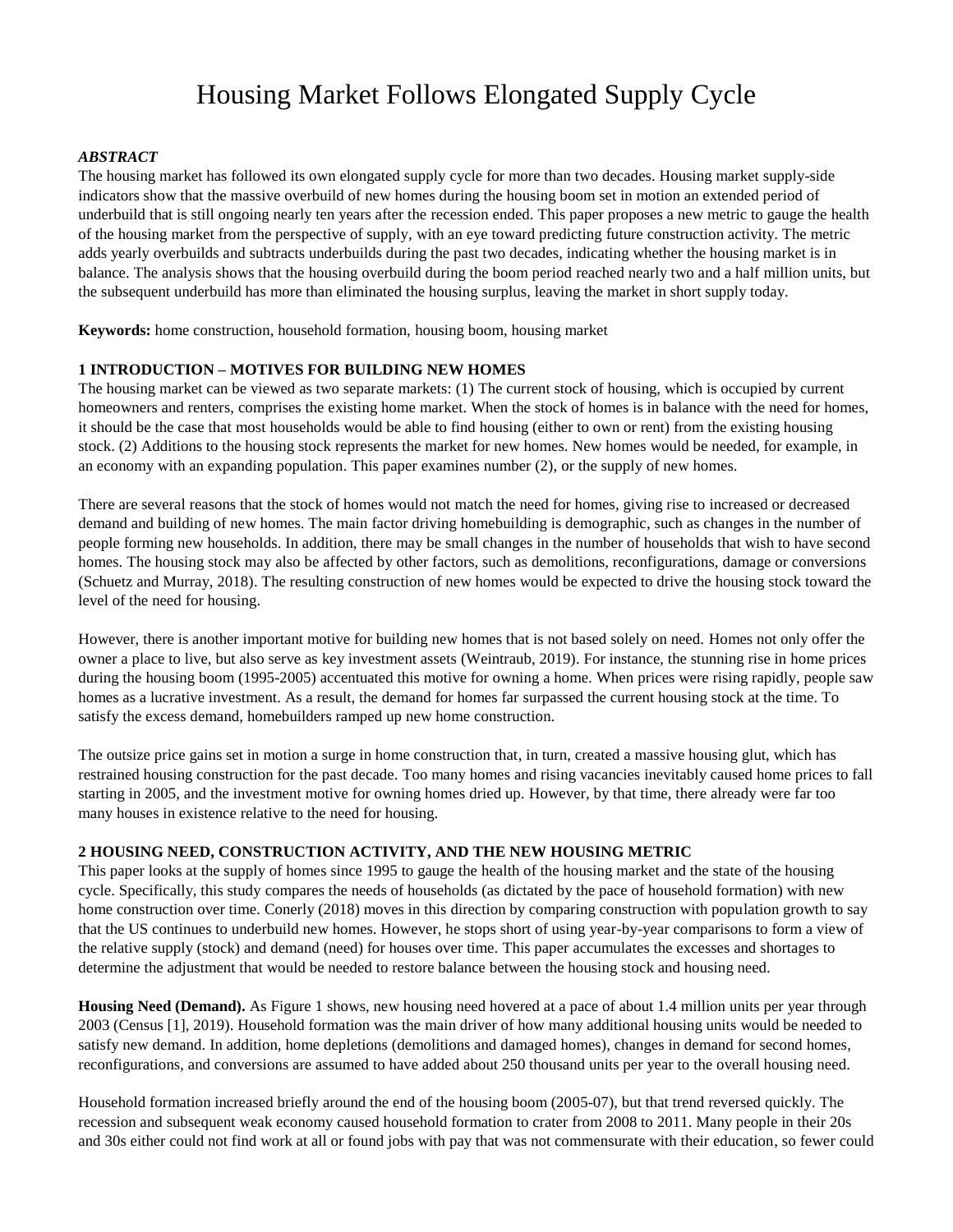# Housing Market Follows Elongated Supply Cycle

#### *ABSTRACT*

The housing market has followed its own elongated supply cycle for more than two decades. Housing market supply-side indicators show that the massive overbuild of new homes during the housing boom set in motion an extended period of underbuild that is still ongoing nearly ten years after the recession ended. This paper proposes a new metric to gauge the health of the housing market from the perspective of supply, with an eye toward predicting future construction activity. The metric adds yearly overbuilds and subtracts underbuilds during the past two decades, indicating whether the housing market is in balance. The analysis shows that the housing overbuild during the boom period reached nearly two and a half million units, but the subsequent underbuild has more than eliminated the housing surplus, leaving the market in short supply today.

**Keywords:** home construction, household formation, housing boom, housing market

#### **1 INTRODUCTION – MOTIVES FOR BUILDING NEW HOMES**

The housing market can be viewed as two separate markets: (1) The current stock of housing, which is occupied by current homeowners and renters, comprises the existing home market. When the stock of homes is in balance with the need for homes, it should be the case that most households would be able to find housing (either to own or rent) from the existing housing stock. (2) Additions to the housing stock represents the market for new homes. New homes would be needed, for example, in an economy with an expanding population. This paper examines number (2), or the supply of new homes.

There are several reasons that the stock of homes would not match the need for homes, giving rise to increased or decreased demand and building of new homes. The main factor driving homebuilding is demographic, such as changes in the number of people forming new households. In addition, there may be small changes in the number of households that wish to have second homes. The housing stock may also be affected by other factors, such as demolitions, reconfigurations, damage or conversions (Schuetz and Murray, 2018). The resulting construction of new homes would be expected to drive the housing stock toward the level of the need for housing.

However, there is another important motive for building new homes that is not based solely on need. Homes not only offer the owner a place to live, but also serve as key investment assets (Weintraub, 2019). For instance, the stunning rise in home prices during the housing boom (1995-2005) accentuated this motive for owning a home. When prices were rising rapidly, people saw homes as a lucrative investment. As a result, the demand for homes far surpassed the current housing stock at the time. To satisfy the excess demand, homebuilders ramped up new home construction.

The outsize price gains set in motion a surge in home construction that, in turn, created a massive housing glut, which has restrained housing construction for the past decade. Too many homes and rising vacancies inevitably caused home prices to fall starting in 2005, and the investment motive for owning homes dried up. However, by that time, there already were far too many houses in existence relative to the need for housing.

#### **2 HOUSING NEED, CONSTRUCTION ACTIVITY, AND THE NEW HOUSING METRIC**

This paper looks at the supply of homes since 1995 to gauge the health of the housing market and the state of the housing cycle. Specifically, this study compares the needs of households (as dictated by the pace of household formation) with new home construction over time. Conerly (2018) moves in this direction by comparing construction with population growth to say that the US continues to underbuild new homes. However, he stops short of using year-by-year comparisons to form a view of the relative supply (stock) and demand (need) for houses over time. This paper accumulates the excesses and shortages to determine the adjustment that would be needed to restore balance between the housing stock and housing need.

**Housing Need (Demand).** As Figure 1 shows, new housing need hovered at a pace of about 1.4 million units per year through 2003 (Census [1], 2019). Household formation was the main driver of how many additional housing units would be needed to satisfy new demand. In addition, home depletions (demolitions and damaged homes), changes in demand for second homes, reconfigurations, and conversions are assumed to have added about 250 thousand units per year to the overall housing need.

Household formation increased briefly around the end of the housing boom (2005-07), but that trend reversed quickly. The recession and subsequent weak economy caused household formation to crater from 2008 to 2011. Many people in their 20s and 30s either could not find work at all or found jobs with pay that was not commensurate with their education, so fewer could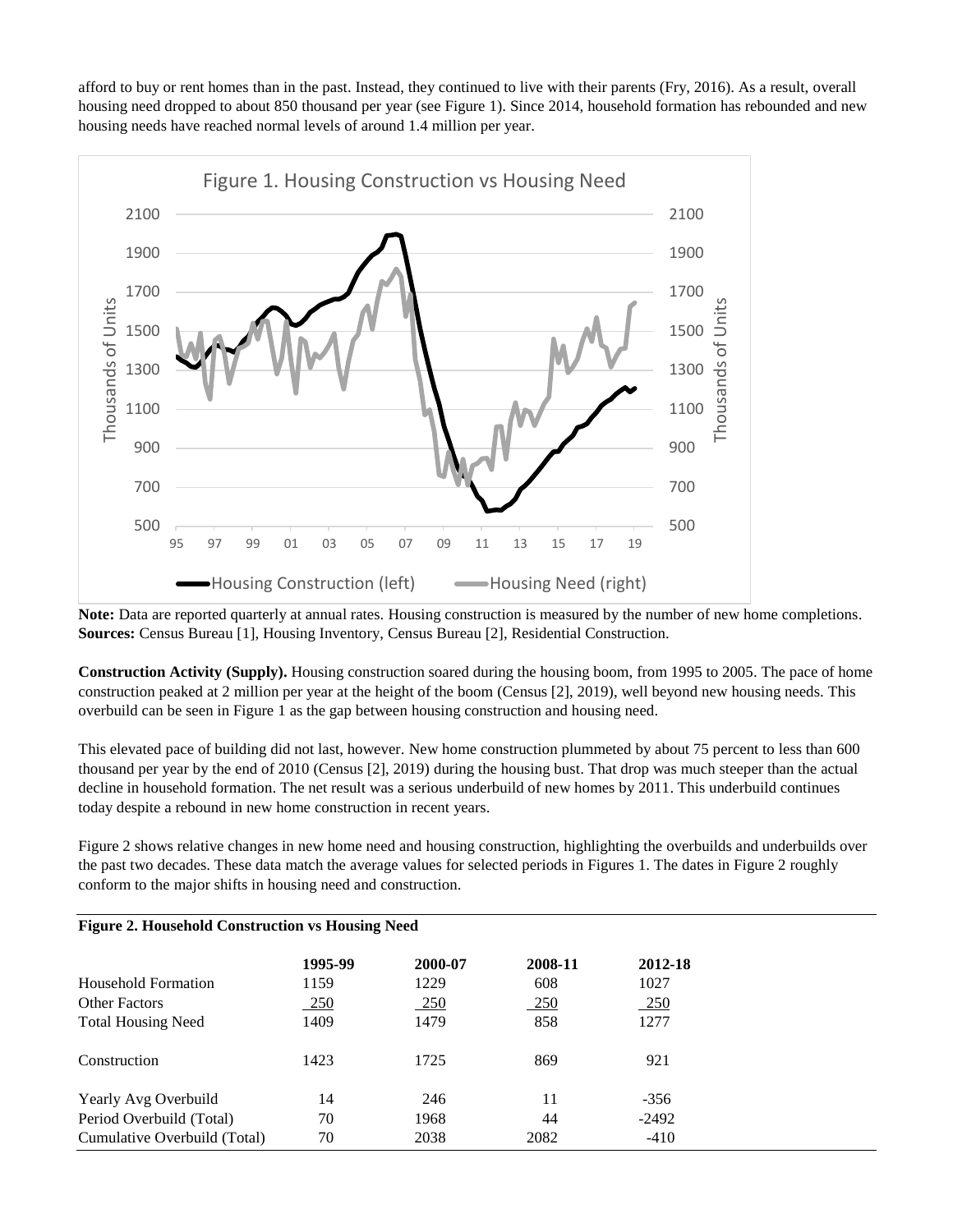afford to buy or rent homes than in the past. Instead, they continued to live with their parents (Fry, 2016). As a result, overall housing need dropped to about 850 thousand per year (see Figure 1). Since 2014, household formation has rebounded and new housing needs have reached normal levels of around 1.4 million per year.



**Note:** Data are reported quarterly at annual rates. Housing construction is measured by the number of new home completions. **Sources:** Census Bureau [1], Housing Inventory, Census Bureau [2], Residential Construction.

**Construction Activity (Supply).** Housing construction soared during the housing boom, from 1995 to 2005. The pace of home construction peaked at 2 million per year at the height of the boom (Census [2], 2019), well beyond new housing needs. This overbuild can be seen in Figure 1 as the gap between housing construction and housing need.

This elevated pace of building did not last, however. New home construction plummeted by about 75 percent to less than 600 thousand per year by the end of 2010 (Census [2], 2019) during the housing bust. That drop was much steeper than the actual decline in household formation. The net result was a serious underbuild of new homes by 2011. This underbuild continues today despite a rebound in new home construction in recent years.

Figure 2 shows relative changes in new home need and housing construction, highlighting the overbuilds and underbuilds over the past two decades. These data match the average values for selected periods in Figures 1. The dates in Figure 2 roughly conform to the major shifts in housing need and construction.

| <b>Figure 2. Household Construction vs Housing Need</b> |         |         |            |            |  |
|---------------------------------------------------------|---------|---------|------------|------------|--|
|                                                         | 1995-99 | 2000-07 | 2008-11    | 2012-18    |  |
| Household Formation                                     | 1159    | 1229    | 608        | 1027       |  |
| <b>Other Factors</b>                                    | 250     | $-250$  | <u>250</u> | <u>250</u> |  |
| <b>Total Housing Need</b>                               | 1409    | 1479    | 858        | 1277       |  |
| Construction                                            | 1423    | 1725    | 869        | 921        |  |
| Yearly Avg Overbuild                                    | 14      | 246     | 11         | $-356$     |  |
| Period Overbuild (Total)                                | 70      | 1968    | 44         | $-2492$    |  |
| Cumulative Overbuild (Total)                            | 70      | 2038    | 2082       | $-410$     |  |

### **Figure 2. Household Construction vs Housing Need**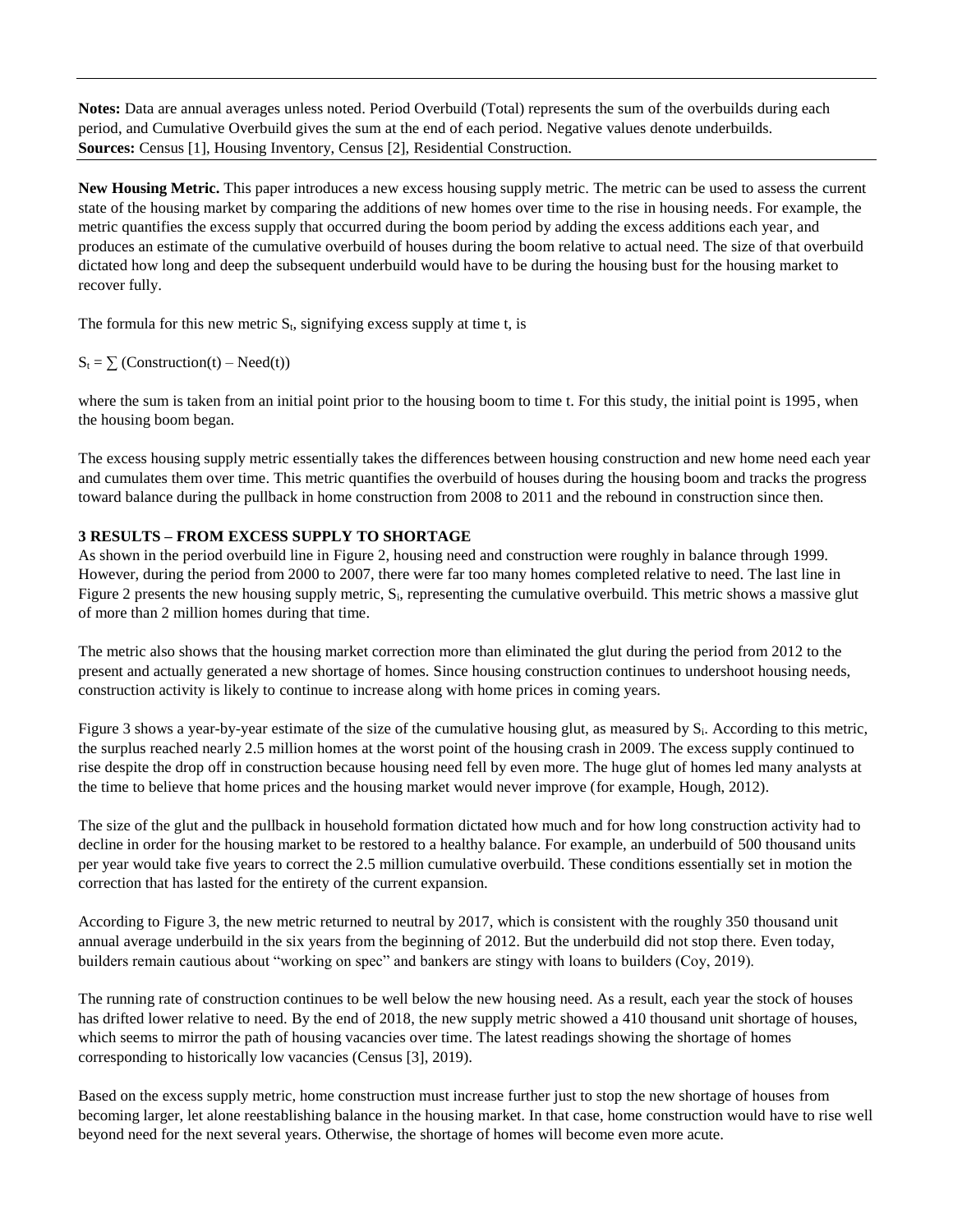**Notes:** Data are annual averages unless noted. Period Overbuild (Total) represents the sum of the overbuilds during each period, and Cumulative Overbuild gives the sum at the end of each period. Negative values denote underbuilds. **Sources:** Census [1], Housing Inventory, Census [2], Residential Construction.

**New Housing Metric.** This paper introduces a new excess housing supply metric. The metric can be used to assess the current state of the housing market by comparing the additions of new homes over time to the rise in housing needs. For example, the metric quantifies the excess supply that occurred during the boom period by adding the excess additions each year, and produces an estimate of the cumulative overbuild of houses during the boom relative to actual need. The size of that overbuild dictated how long and deep the subsequent underbuild would have to be during the housing bust for the housing market to recover fully.

The formula for this new metric  $S_t$ , signifying excess supply at time t, is

 $S_t = \sum$  (Construction(t) – Need(t))

where the sum is taken from an initial point prior to the housing boom to time t. For this study, the initial point is 1995, when the housing boom began.

The excess housing supply metric essentially takes the differences between housing construction and new home need each year and cumulates them over time. This metric quantifies the overbuild of houses during the housing boom and tracks the progress toward balance during the pullback in home construction from 2008 to 2011 and the rebound in construction since then.

#### **3 RESULTS – FROM EXCESS SUPPLY TO SHORTAGE**

As shown in the period overbuild line in Figure 2, housing need and construction were roughly in balance through 1999. However, during the period from 2000 to 2007, there were far too many homes completed relative to need. The last line in Figure 2 presents the new housing supply metric, Si, representing the cumulative overbuild. This metric shows a massive glut of more than 2 million homes during that time.

The metric also shows that the housing market correction more than eliminated the glut during the period from 2012 to the present and actually generated a new shortage of homes. Since housing construction continues to undershoot housing needs, construction activity is likely to continue to increase along with home prices in coming years.

Figure 3 shows a year-by-year estimate of the size of the cumulative housing glut, as measured by S<sub>i</sub>. According to this metric, the surplus reached nearly 2.5 million homes at the worst point of the housing crash in 2009. The excess supply continued to rise despite the drop off in construction because housing need fell by even more. The huge glut of homes led many analysts at the time to believe that home prices and the housing market would never improve (for example, Hough, 2012).

The size of the glut and the pullback in household formation dictated how much and for how long construction activity had to decline in order for the housing market to be restored to a healthy balance. For example, an underbuild of 500 thousand units per year would take five years to correct the 2.5 million cumulative overbuild. These conditions essentially set in motion the correction that has lasted for the entirety of the current expansion.

According to Figure 3, the new metric returned to neutral by 2017, which is consistent with the roughly 350 thousand unit annual average underbuild in the six years from the beginning of 2012. But the underbuild did not stop there. Even today, builders remain cautious about "working on spec" and bankers are stingy with loans to builders (Coy, 2019).

The running rate of construction continues to be well below the new housing need. As a result, each year the stock of houses has drifted lower relative to need. By the end of 2018, the new supply metric showed a 410 thousand unit shortage of houses, which seems to mirror the path of housing vacancies over time. The latest readings showing the shortage of homes corresponding to historically low vacancies (Census [3], 2019).

Based on the excess supply metric, home construction must increase further just to stop the new shortage of houses from becoming larger, let alone reestablishing balance in the housing market. In that case, home construction would have to rise well beyond need for the next several years. Otherwise, the shortage of homes will become even more acute.